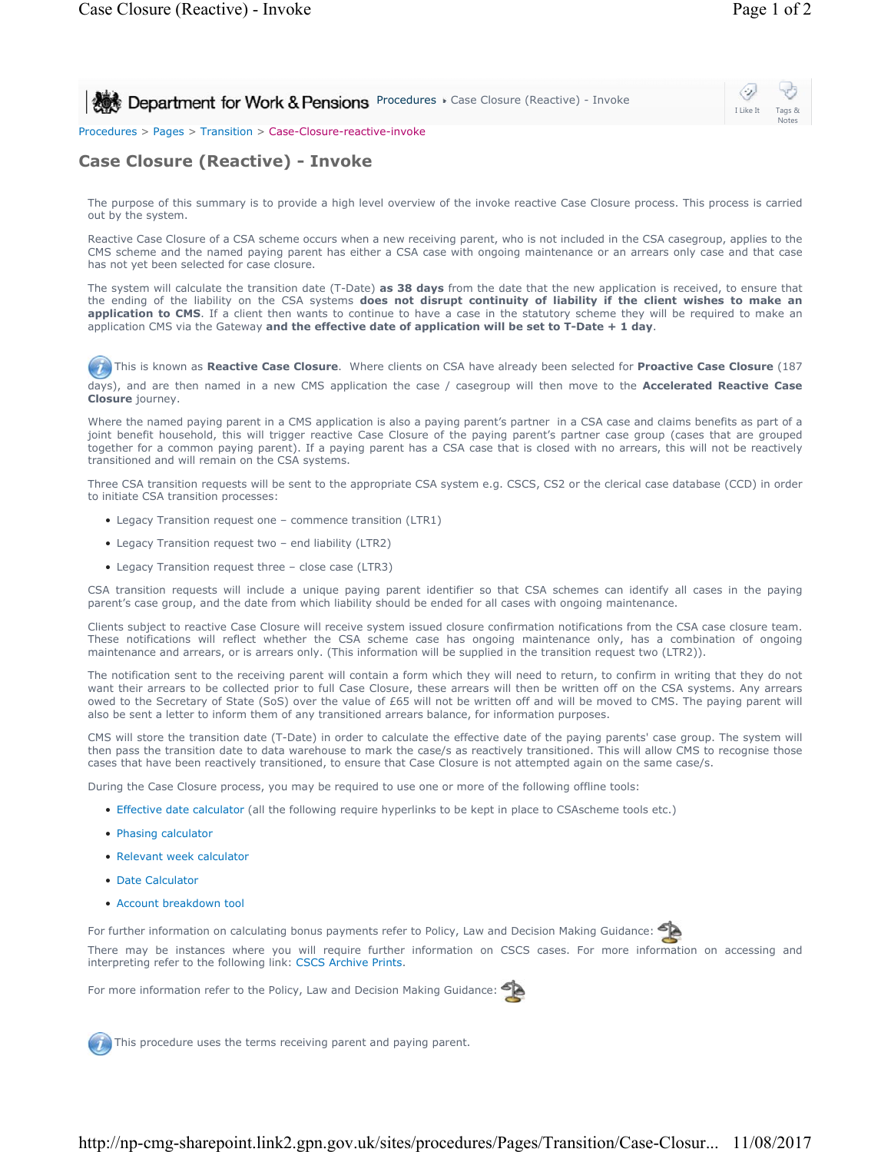**Procedures Case Closure (Reactive) - Invoke Reactive) - Invoke** 

## I Like It Tags & Notes

Procedures > Pages > Transition > Case-Closure-reactive-invoke

## **Case Closure (Reactive) - Invoke**

The purpose of this summary is to provide a high level overview of the invoke reactive Case Closure process. This process is carried out by the system.

Reactive Case Closure of a CSA scheme occurs when a new receiving parent, who is not included in the CSA casegroup, applies to the CMS scheme and the named paying parent has either a CSA case with ongoing maintenance or an arrears only case and that case has not yet been selected for case closure.

The system will calculate the transition date (T-Date) **as 38 days** from the date that the new application is received, to ensure that the ending of the liability on the CSA systems **does not disrupt continuity of liability if the client wishes to make an**  application to CMS. If a client then wants to continue to have a case in the statutory scheme they will be required to make an application CMS via the Gateway **and the effective date of application will be set to T-Date + 1 day**.

 This is known as **Reactive Case Closure**. Where clients on CSA have already been selected for **Proactive Case Closure** (187 days), and are then named in a new CMS application the case / casegroup will then move to the **Accelerated Reactive Case Closure** journey.

Where the named paying parent in a CMS application is also a paying parent's partner in a CSA case and claims benefits as part of a joint benefit household, this will trigger reactive Case Closure of the paying parent's partner case group (cases that are grouped together for a common paying parent). If a paying parent has a CSA case that is closed with no arrears, this will not be reactively transitioned and will remain on the CSA systems.

Three CSA transition requests will be sent to the appropriate CSA system e.g. CSCS, CS2 or the clerical case database (CCD) in order to initiate CSA transition processes:

- Legacy Transition request one commence transition (LTR1)
- Legacy Transition request two end liability (LTR2)
- Legacy Transition request three close case (LTR3)

CSA transition requests will include a unique paying parent identifier so that CSA schemes can identify all cases in the paying parent's case group, and the date from which liability should be ended for all cases with ongoing maintenance.

Clients subject to reactive Case Closure will receive system issued closure confirmation notifications from the CSA case closure team. These notifications will reflect whether the CSA scheme case has ongoing maintenance only, has a combination of ongoing maintenance and arrears, or is arrears only. (This information will be supplied in the transition request two (LTR2)).

The notification sent to the receiving parent will contain a form which they will need to return, to confirm in writing that they do not want their arrears to be collected prior to full Case Closure, these arrears will then be written off on the CSA systems. Any arrears owed to the Secretary of State (SoS) over the value of £65 will not be written off and will be moved to CMS. The paying parent will also be sent a letter to inform them of any transitioned arrears balance, for information purposes.

CMS will store the transition date (T-Date) in order to calculate the effective date of the paying parents' case group. The system will then pass the transition date to data warehouse to mark the case/s as reactively transitioned. This will allow CMS to recognise those cases that have been reactively transitioned, to ensure that Case Closure is not attempted again on the same case/s.

During the Case Closure process, you may be required to use one or more of the following offline tools:

- Effective date calculator (all the following require hyperlinks to be kept in place to CSAscheme tools etc.)
- Phasing calculator
- Relevant week calculator
- Date Calculator
- Account breakdown tool

For further information on calculating bonus payments refer to Policy, Law and Decision Making Guidance: There may be instances where you will require further information on CSCS cases. For more information on accessing and interpreting refer to the following link: CSCS Archive Prints.

For more information refer to the Policy, Law and Decision Making Guidance:

This procedure uses the terms receiving parent and paying parent.